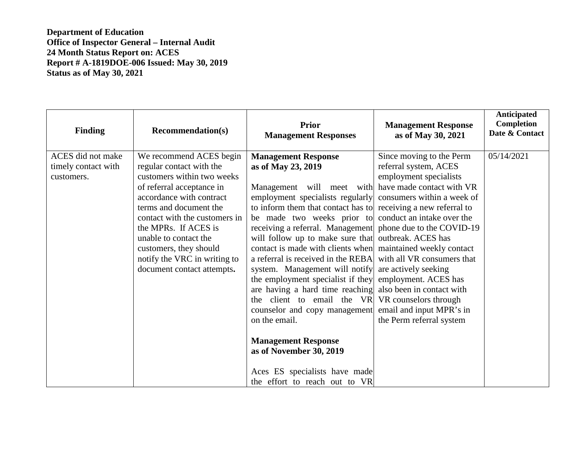| <b>Finding</b>                                         | <b>Recommendation(s)</b>                                                                                                                                                                                                                                                                                                                       | <b>Prior</b><br><b>Management Responses</b>                                                                                                                                                                                                                                                                                                                                                                                                                                                                                                                                                                                                                                                                          | <b>Management Response</b><br>as of May 30, 2021                                                                                                                                                                                                                                                                                                                                                                   | Anticipated<br>Completion<br>Date & Contact |
|--------------------------------------------------------|------------------------------------------------------------------------------------------------------------------------------------------------------------------------------------------------------------------------------------------------------------------------------------------------------------------------------------------------|----------------------------------------------------------------------------------------------------------------------------------------------------------------------------------------------------------------------------------------------------------------------------------------------------------------------------------------------------------------------------------------------------------------------------------------------------------------------------------------------------------------------------------------------------------------------------------------------------------------------------------------------------------------------------------------------------------------------|--------------------------------------------------------------------------------------------------------------------------------------------------------------------------------------------------------------------------------------------------------------------------------------------------------------------------------------------------------------------------------------------------------------------|---------------------------------------------|
| ACES did not make<br>timely contact with<br>customers. | We recommend ACES begin<br>regular contact with the<br>customers within two weeks<br>of referral acceptance in<br>accordance with contract<br>terms and document the<br>contact with the customers in<br>the MPRs. If ACES is<br>unable to contact the<br>customers, they should<br>notify the VRC in writing to<br>document contact attempts. | <b>Management Response</b><br>as of May 23, 2019<br>Management will meet with<br>employment specialists regularly consumers within a week of<br>to inform them that contact has to receiving a new referral to<br>be made two weeks prior to<br>receiving a referral. Management<br>will follow up to make sure that<br>contact is made with clients when<br>a referral is received in the REBA<br>system. Management will notify<br>the employment specialist if they<br>are having a hard time reaching<br>the client to email the VR<br>counselor and copy management<br>on the email.<br><b>Management Response</b><br>as of November 30, 2019<br>Aces ES specialists have made<br>the effort to reach out to VR | Since moving to the Perm<br>referral system, ACES<br>employment specialists<br>have made contact with VR<br>conduct an intake over the<br>phone due to the COVID-19<br>outbreak. ACES has<br>maintained weekly contact<br>with all VR consumers that<br>are actively seeking<br>employment. ACES has<br>also been in contact with<br>VR counselors through<br>email and input MPR's in<br>the Perm referral system | 05/14/2021                                  |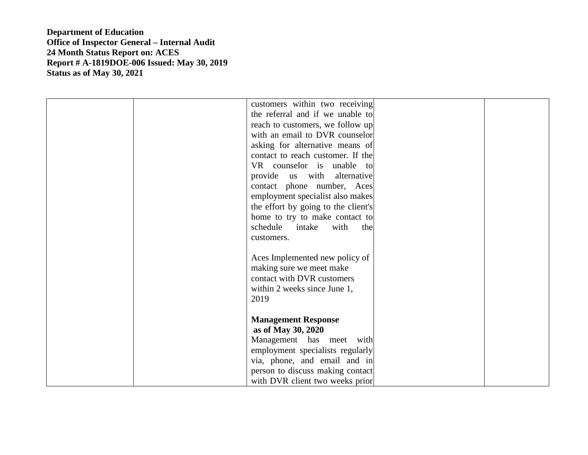| customers within two receiving      |
|-------------------------------------|
| the referral and if we unable to    |
| reach to customers, we follow up    |
| with an email to DVR counselor      |
| asking for alternative means of     |
| contact to reach customer. If the   |
| VR counselor is unable to           |
| provide us with alternative         |
| contact phone number, Aces          |
| employment specialist also makes    |
| the effort by going to the client's |
| home to try to make contact to      |
| schedule intake<br>with<br>the      |
| customers.                          |
|                                     |
| Aces Implemented new policy of      |
| making sure we meet make            |
| contact with DVR customers          |
| within 2 weeks since June 1,        |
| 2019                                |
|                                     |
| <b>Management Response</b>          |
| as of May 30, 2020                  |
| Management has meet with            |
| employment specialists regularly    |
| via, phone, and email and in        |
| person to discuss making contact    |
| with DVR client two weeks prior     |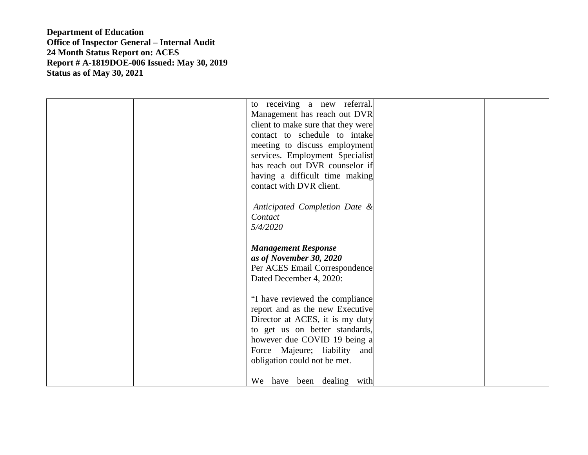|  | to receiving a new referral.       |  |
|--|------------------------------------|--|
|  | Management has reach out DVR       |  |
|  | client to make sure that they were |  |
|  | contact to schedule to intake      |  |
|  | meeting to discuss employment      |  |
|  |                                    |  |
|  | services. Employment Specialist    |  |
|  | has reach out DVR counselor if     |  |
|  | having a difficult time making     |  |
|  | contact with DVR client.           |  |
|  |                                    |  |
|  | Anticipated Completion Date &      |  |
|  | Contact                            |  |
|  | 5/4/2020                           |  |
|  |                                    |  |
|  |                                    |  |
|  |                                    |  |
|  | <b>Management Response</b>         |  |
|  | as of November 30, 2020            |  |
|  | Per ACES Email Correspondence      |  |
|  | Dated December 4, 2020:            |  |
|  |                                    |  |
|  | "I have reviewed the compliance    |  |
|  | report and as the new Executive    |  |
|  | Director at ACES, it is my duty    |  |
|  |                                    |  |
|  | to get us on better standards,     |  |
|  | however due COVID 19 being a       |  |
|  | Force Majeure; liability and       |  |
|  | obligation could not be met.       |  |
|  | We have been dealing with          |  |